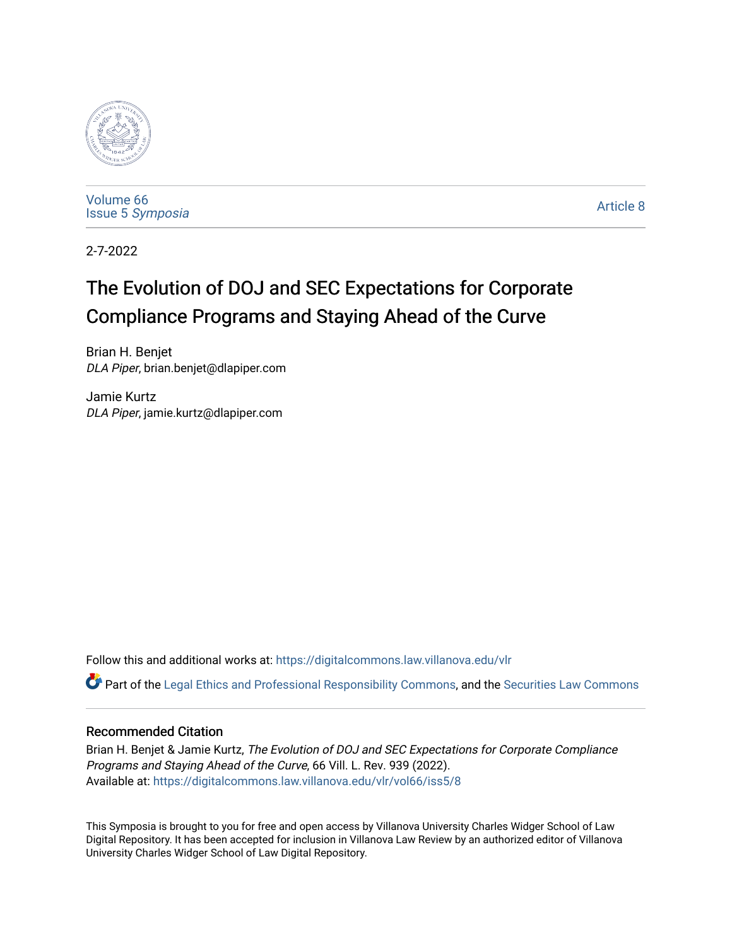

[Volume 66](https://digitalcommons.law.villanova.edu/vlr/vol66) Issue 5 [Symposia](https://digitalcommons.law.villanova.edu/vlr/vol66/iss5) 

[Article 8](https://digitalcommons.law.villanova.edu/vlr/vol66/iss5/8) 

2-7-2022

# The Evolution of DOJ and SEC Expectations for Corporate Compliance Programs and Staying Ahead of the Curve

Brian H. Benjet DLA Piper, brian.benjet@dlapiper.com

Jamie Kurtz DLA Piper, jamie.kurtz@dlapiper.com

Follow this and additional works at: [https://digitalcommons.law.villanova.edu/vlr](https://digitalcommons.law.villanova.edu/vlr?utm_source=digitalcommons.law.villanova.edu%2Fvlr%2Fvol66%2Fiss5%2F8&utm_medium=PDF&utm_campaign=PDFCoverPages)

Part of the [Legal Ethics and Professional Responsibility Commons](http://network.bepress.com/hgg/discipline/895?utm_source=digitalcommons.law.villanova.edu%2Fvlr%2Fvol66%2Fiss5%2F8&utm_medium=PDF&utm_campaign=PDFCoverPages), and the [Securities Law Commons](http://network.bepress.com/hgg/discipline/619?utm_source=digitalcommons.law.villanova.edu%2Fvlr%2Fvol66%2Fiss5%2F8&utm_medium=PDF&utm_campaign=PDFCoverPages) 

## Recommended Citation

Brian H. Benjet & Jamie Kurtz, The Evolution of DOJ and SEC Expectations for Corporate Compliance Programs and Staying Ahead of the Curve, 66 Vill. L. Rev. 939 (2022). Available at: [https://digitalcommons.law.villanova.edu/vlr/vol66/iss5/8](https://digitalcommons.law.villanova.edu/vlr/vol66/iss5/8?utm_source=digitalcommons.law.villanova.edu%2Fvlr%2Fvol66%2Fiss5%2F8&utm_medium=PDF&utm_campaign=PDFCoverPages) 

This Symposia is brought to you for free and open access by Villanova University Charles Widger School of Law Digital Repository. It has been accepted for inclusion in Villanova Law Review by an authorized editor of Villanova University Charles Widger School of Law Digital Repository.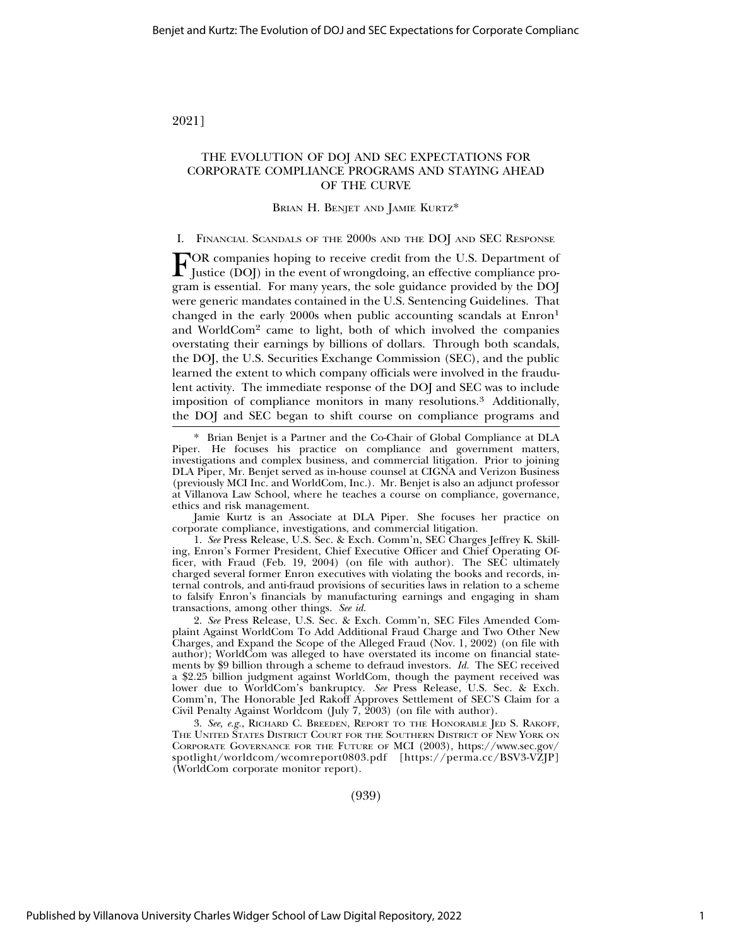2021]

## THE EVOLUTION OF DOJ AND SEC EXPECTATIONS FOR CORPORATE COMPLIANCE PROGRAMS AND STAYING AHEAD OF THE CURVE

#### BRIAN H. BENJET AND JAMIE KURTZ\*

#### I. FINANCIAL SCANDALS OF THE 2000S AND THE DOJ AND SEC RESPONSE

FOR companies hoping to receive credit from the U.S. Department of Justice (DOJ) in the event of wrongdoing, an effective compliance program is essential. For many years, the sole guidance provided by the DOJ were generic mandates contained in the U.S. Sentencing Guidelines. That changed in the early 2000s when public accounting scandals at Enron<sup>1</sup> and WorldCom2 came to light, both of which involved the companies overstating their earnings by billions of dollars. Through both scandals, the DOJ, the U.S. Securities Exchange Commission (SEC), and the public learned the extent to which company officials were involved in the fraudulent activity. The immediate response of the DOJ and SEC was to include imposition of compliance monitors in many resolutions.3 Additionally, the DOJ and SEC began to shift course on compliance programs and

Jamie Kurtz is an Associate at DLA Piper. She focuses her practice on corporate compliance, investigations, and commercial litigation.

1. *See* Press Release, U.S. Sec. & Exch. Comm'n, SEC Charges Jeffrey K. Skilling, Enron's Former President, Chief Executive Officer and Chief Operating Officer, with Fraud (Feb. 19, 2004) (on file with author). The SEC ultimately charged several former Enron executives with violating the books and records, internal controls, and anti-fraud provisions of securities laws in relation to a scheme to falsify Enron's financials by manufacturing earnings and engaging in sham transactions, among other things. *See id.*

2. *See* Press Release, U.S. Sec. & Exch. Comm'n, SEC Files Amended Complaint Against WorldCom To Add Additional Fraud Charge and Two Other New Charges, and Expand the Scope of the Alleged Fraud (Nov. 1, 2002) (on file with author); WorldCom was alleged to have overstated its income on financial statements by \$9 billion through a scheme to defraud investors. *Id.* The SEC received a \$2.25 billion judgment against WorldCom, though the payment received was lower due to WorldCom's bankruptcy. *See* Press Release, U.S. Sec. & Exch. Comm'n, The Honorable Jed Rakoff Approves Settlement of SEC'S Claim for a Civil Penalty Against Worldcom (July 7, 2003) (on file with author).

3. *See, e.g.*, RICHARD C. BREEDEN, REPORT TO THE HONORABLE JED S. RAKOFF, THE UNITED STATES DISTRICT COURT FOR THE SOUTHERN DISTRICT OF NEW YORK ON CORPORATE GOVERNANCE FOR THE FUTURE OF MCI (2003), https://www.sec.gov/ spotlight/worldcom/wcomreport0803.pdf [https://perma.cc/BSV3-VZJP] (WorldCom corporate monitor report).

(939)

<sup>\*</sup> Brian Benjet is a Partner and the Co-Chair of Global Compliance at DLA Piper. He focuses his practice on compliance and government matters, investigations and complex business, and commercial litigation. Prior to joining DLA Piper, Mr. Benjet served as in-house counsel at CIGNA and Verizon Business (previously MCI Inc. and WorldCom, Inc.). Mr. Benjet is also an adjunct professor at Villanova Law School, where he teaches a course on compliance, governance, ethics and risk management.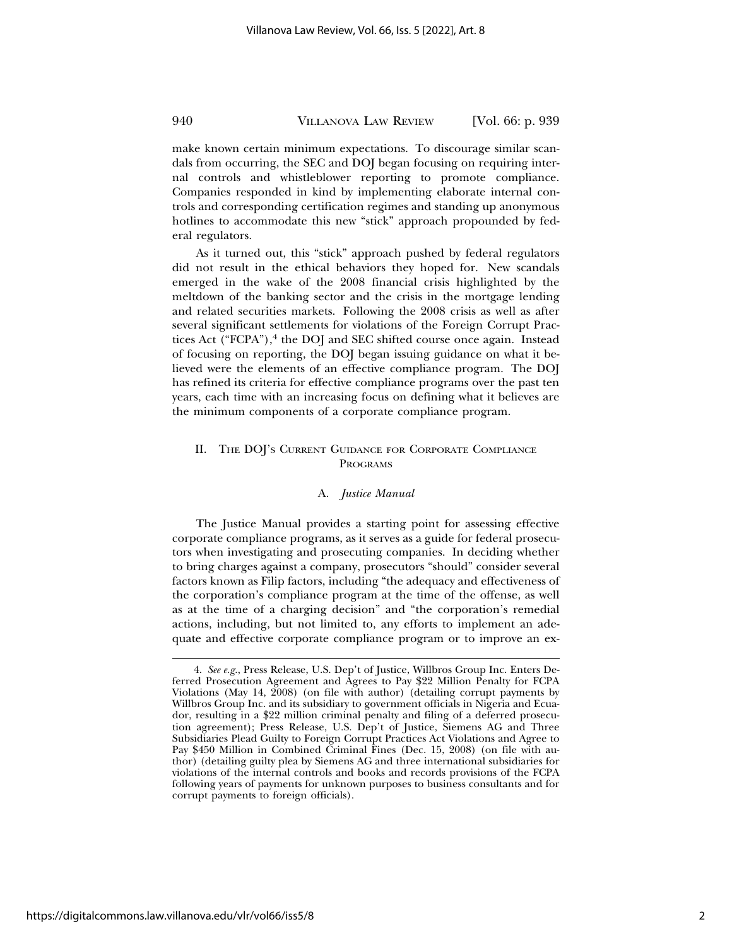#### 940 VILLANOVA LAW REVIEW [Vol. 66: p. 939

make known certain minimum expectations. To discourage similar scandals from occurring, the SEC and DOJ began focusing on requiring internal controls and whistleblower reporting to promote compliance. Companies responded in kind by implementing elaborate internal controls and corresponding certification regimes and standing up anonymous hotlines to accommodate this new "stick" approach propounded by federal regulators.

As it turned out, this "stick" approach pushed by federal regulators did not result in the ethical behaviors they hoped for. New scandals emerged in the wake of the 2008 financial crisis highlighted by the meltdown of the banking sector and the crisis in the mortgage lending and related securities markets. Following the 2008 crisis as well as after several significant settlements for violations of the Foreign Corrupt Practices Act ("FCPA"),<sup>4</sup> the DOJ and SEC shifted course once again. Instead of focusing on reporting, the DOJ began issuing guidance on what it believed were the elements of an effective compliance program. The DOJ has refined its criteria for effective compliance programs over the past ten years, each time with an increasing focus on defining what it believes are the minimum components of a corporate compliance program.

## II. THE DOJ'S CURRENT GUIDANCE FOR CORPORATE COMPLIANCE PROGRAMS

#### A. *Justice Manual*

The Justice Manual provides a starting point for assessing effective corporate compliance programs, as it serves as a guide for federal prosecutors when investigating and prosecuting companies. In deciding whether to bring charges against a company, prosecutors "should" consider several factors known as Filip factors, including "the adequacy and effectiveness of the corporation's compliance program at the time of the offense, as well as at the time of a charging decision" and "the corporation's remedial actions, including, but not limited to, any efforts to implement an adequate and effective corporate compliance program or to improve an ex-

<sup>4.</sup> *See e.g.*, Press Release, U.S. Dep't of Justice, Willbros Group Inc. Enters Deferred Prosecution Agreement and Agrees to Pay \$22 Million Penalty for FCPA Violations (May 14, 2008) (on file with author) (detailing corrupt payments by Willbros Group Inc. and its subsidiary to government officials in Nigeria and Ecuador, resulting in a \$22 million criminal penalty and filing of a deferred prosecution agreement); Press Release, U.S. Dep't of Justice, Siemens AG and Three Subsidiaries Plead Guilty to Foreign Corrupt Practices Act Violations and Agree to Pay \$450 Million in Combined Criminal Fines (Dec. 15, 2008) (on file with author) (detailing guilty plea by Siemens AG and three international subsidiaries for violations of the internal controls and books and records provisions of the FCPA following years of payments for unknown purposes to business consultants and for corrupt payments to foreign officials).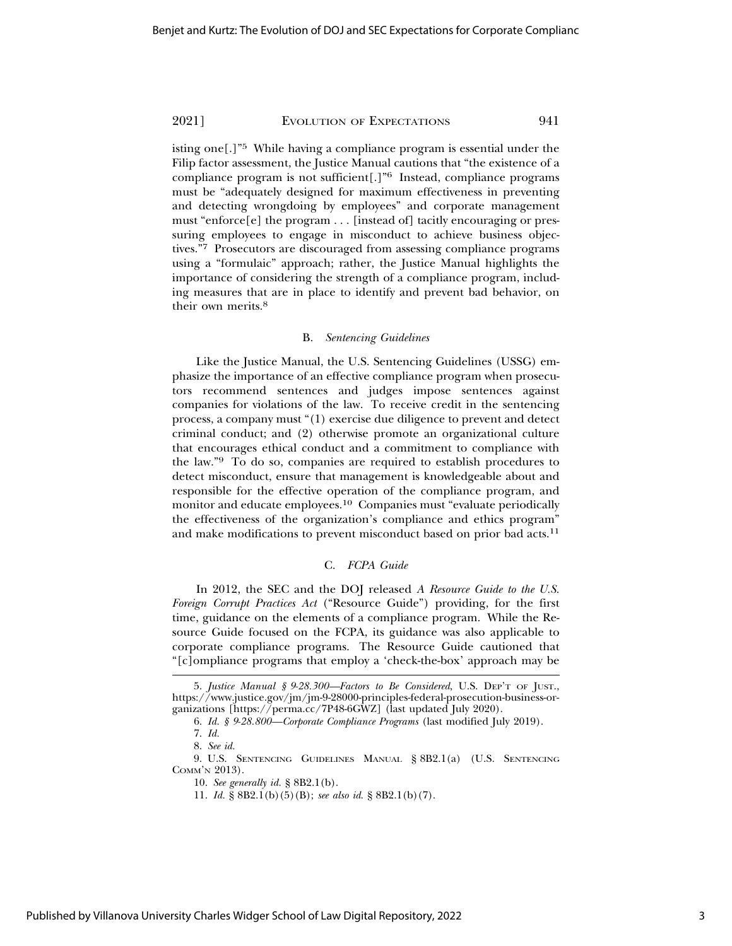2021] EVOLUTION OF EXPECTATIONS 941

isting one[.]"5 While having a compliance program is essential under the Filip factor assessment, the Justice Manual cautions that "the existence of a compliance program is not sufficient[.]"6 Instead, compliance programs must be "adequately designed for maximum effectiveness in preventing and detecting wrongdoing by employees" and corporate management must "enforce[e] the program  $\dots$  [instead of] tacitly encouraging or pressuring employees to engage in misconduct to achieve business objectives."7 Prosecutors are discouraged from assessing compliance programs using a "formulaic" approach; rather, the Justice Manual highlights the importance of considering the strength of a compliance program, including measures that are in place to identify and prevent bad behavior, on their own merits.8

## B. *Sentencing Guidelines*

Like the Justice Manual, the U.S. Sentencing Guidelines (USSG) emphasize the importance of an effective compliance program when prosecutors recommend sentences and judges impose sentences against companies for violations of the law. To receive credit in the sentencing process, a company must "(1) exercise due diligence to prevent and detect criminal conduct; and (2) otherwise promote an organizational culture that encourages ethical conduct and a commitment to compliance with the law."9 To do so, companies are required to establish procedures to detect misconduct, ensure that management is knowledgeable about and responsible for the effective operation of the compliance program, and monitor and educate employees.10 Companies must "evaluate periodically the effectiveness of the organization's compliance and ethics program" and make modifications to prevent misconduct based on prior bad acts.<sup>11</sup>

#### C. *FCPA Guide*

In 2012, the SEC and the DOJ released *A Resource Guide to the U.S. Foreign Corrupt Practices Act* ("Resource Guide") providing, for the first time, guidance on the elements of a compliance program. While the Resource Guide focused on the FCPA, its guidance was also applicable to corporate compliance programs. The Resource Guide cautioned that "[c]ompliance programs that employ a 'check-the-box' approach may be

<sup>5.</sup> *Justice Manual § 9-28.300—Factors to Be Considered*, U.S. DEP'T OF JUST., https://www.justice.gov/jm/jm-9-28000-principles-federal-prosecution-business-organizations [https://perma.cc/7P48-6GWZ] (last updated July 2020).

<sup>6.</sup> *Id. § 9-28.800—Corporate Compliance Programs* (last modified July 2019).

<sup>7.</sup> *Id.*

<sup>8.</sup> *See id.*

<sup>9.</sup> U.S. SENTENCING GUIDELINES MANUAL § 8B2.1(a) (U.S. SENTENCING COMM'N 2013).

<sup>10.</sup> *See generally id.* § 8B2.1(b).

<sup>11.</sup> *Id.* § 8B2.1(b)(5)(B); *see also id*. § 8B2.1(b)(7).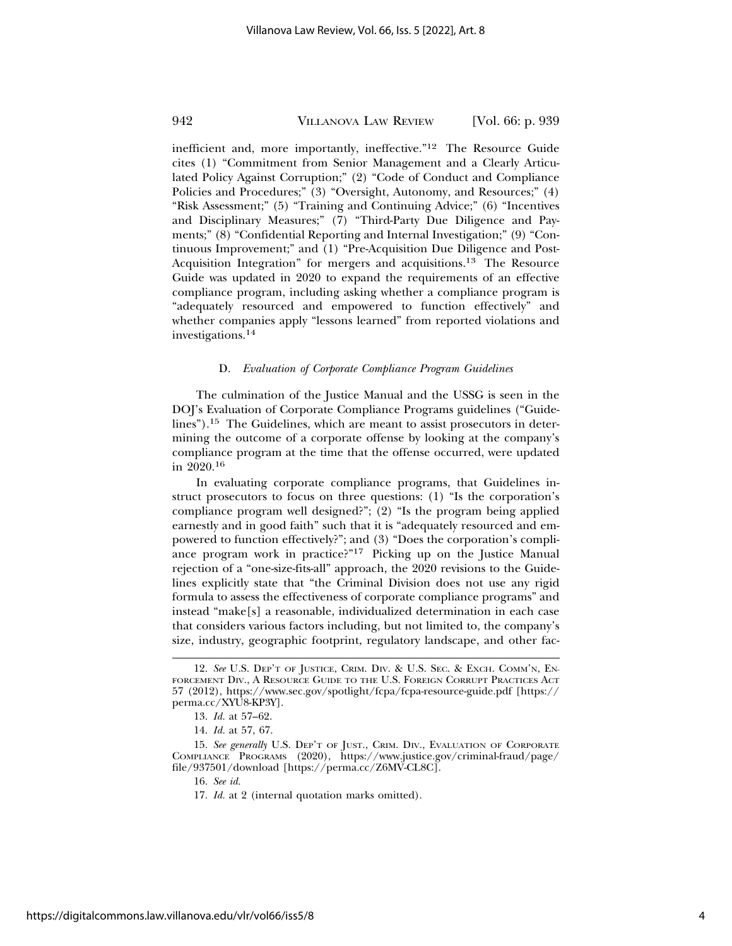## 942 VILLANOVA LAW REVIEW [Vol. 66: p. 939

inefficient and, more importantly, ineffective."12 The Resource Guide cites (1) "Commitment from Senior Management and a Clearly Articulated Policy Against Corruption;" (2) "Code of Conduct and Compliance Policies and Procedures;" (3) "Oversight, Autonomy, and Resources;" (4) "Risk Assessment;" (5) "Training and Continuing Advice;" (6) "Incentives and Disciplinary Measures;" (7) "Third-Party Due Diligence and Payments;" (8) "Confidential Reporting and Internal Investigation;" (9) "Continuous Improvement;" and (1) "Pre-Acquisition Due Diligence and Post-Acquisition Integration" for mergers and acquisitions.13 The Resource Guide was updated in 2020 to expand the requirements of an effective compliance program, including asking whether a compliance program is "adequately resourced and empowered to function effectively" and whether companies apply "lessons learned" from reported violations and investigations.<sup>14</sup>

#### D. *Evaluation of Corporate Compliance Program Guidelines*

The culmination of the Justice Manual and the USSG is seen in the DOJ's Evaluation of Corporate Compliance Programs guidelines ("Guidelines").15 The Guidelines, which are meant to assist prosecutors in determining the outcome of a corporate offense by looking at the company's compliance program at the time that the offense occurred, were updated in 2020.16

In evaluating corporate compliance programs, that Guidelines instruct prosecutors to focus on three questions: (1) "Is the corporation's compliance program well designed?"; (2) "Is the program being applied earnestly and in good faith" such that it is "adequately resourced and empowered to function effectively?"; and (3) "Does the corporation's compliance program work in practice?"17 Picking up on the Justice Manual rejection of a "one-size-fits-all" approach, the 2020 revisions to the Guidelines explicitly state that "the Criminal Division does not use any rigid formula to assess the effectiveness of corporate compliance programs" and instead "make[s] a reasonable, individualized determination in each case that considers various factors including, but not limited to, the company's size, industry, geographic footprint, regulatory landscape, and other fac-

<sup>12.</sup> *See* U.S. DEP'T OF JUSTICE, CRIM. DIV. & U.S. SEC. & EXCH. COMM'N, EN-FORCEMENT DIV., A RESOURCE GUIDE TO THE U.S. FOREIGN CORRUPT PRACTICES ACT 57 (2012), https://www.sec.gov/spotlight/fcpa/fcpa-resource-guide.pdf [https:// perma.cc/XYU8-KP3Y].

<sup>13.</sup> *Id.* at 57–62.

<sup>14.</sup> *Id.* at 57, 67.

<sup>15.</sup> *See generally* U.S. DEP'T OF JUST., CRIM. DIV., EVALUATION OF CORPORATE COMPLIANCE PROGRAMS (2020), https://www.justice.gov/criminal-fraud/page/ file/937501/download [https://perma.cc/Z6MV-CL8C].

<sup>16.</sup> *See id.*

<sup>17.</sup> *Id.* at 2 (internal quotation marks omitted).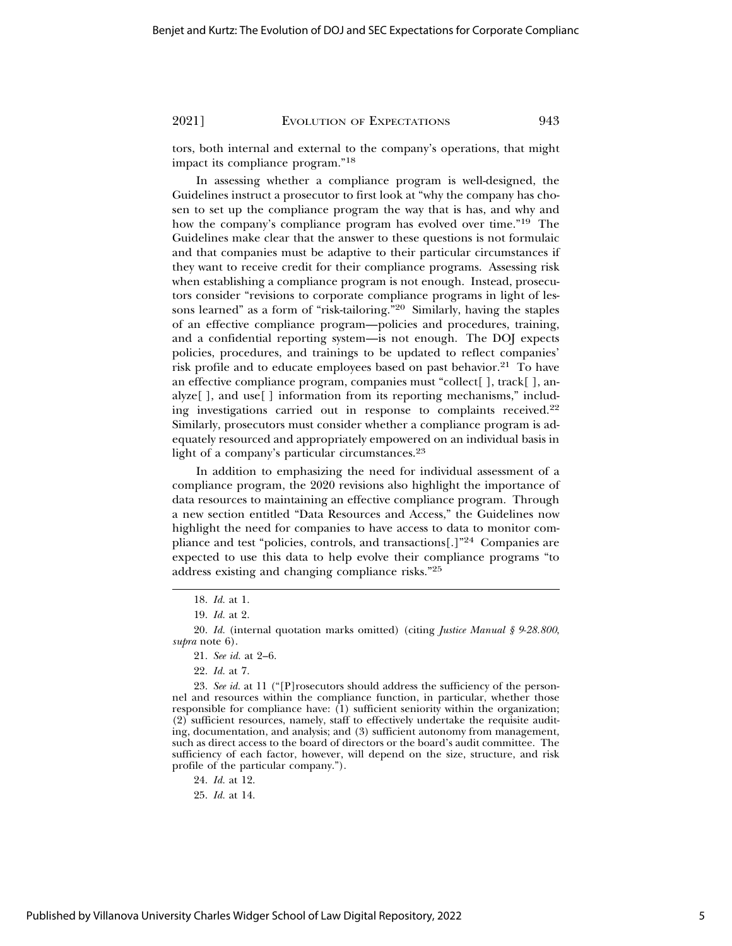2021] EVOLUTION OF EXPECTATIONS 943

tors, both internal and external to the company's operations, that might impact its compliance program."18

In assessing whether a compliance program is well-designed, the Guidelines instruct a prosecutor to first look at "why the company has chosen to set up the compliance program the way that is has, and why and how the company's compliance program has evolved over time."19 The Guidelines make clear that the answer to these questions is not formulaic and that companies must be adaptive to their particular circumstances if they want to receive credit for their compliance programs. Assessing risk when establishing a compliance program is not enough. Instead, prosecutors consider "revisions to corporate compliance programs in light of lessons learned" as a form of "risk-tailoring."20 Similarly, having the staples of an effective compliance program—policies and procedures, training, and a confidential reporting system—is not enough. The DOJ expects policies, procedures, and trainings to be updated to reflect companies' risk profile and to educate employees based on past behavior.<sup>21</sup> To have an effective compliance program, companies must "collect[ ], track[ ], analyze[ ], and use[ ] information from its reporting mechanisms," including investigations carried out in response to complaints received.22 Similarly, prosecutors must consider whether a compliance program is adequately resourced and appropriately empowered on an individual basis in light of a company's particular circumstances.<sup>23</sup>

In addition to emphasizing the need for individual assessment of a compliance program, the 2020 revisions also highlight the importance of data resources to maintaining an effective compliance program. Through a new section entitled "Data Resources and Access," the Guidelines now highlight the need for companies to have access to data to monitor compliance and test "policies, controls, and transactions[.]"<sup>24</sup> Companies are expected to use this data to help evolve their compliance programs "to address existing and changing compliance risks."25

24. *Id.* at 12.

25. *Id.* at 14.

<sup>18.</sup> *Id.* at 1.

<sup>19.</sup> *Id.* at 2.

<sup>20.</sup> *Id.* (internal quotation marks omitted) (citing *Justice Manual § 9-28.800*, *supra* note 6).

<sup>21.</sup> *See id.* at 2–6.

<sup>22.</sup> *Id.* at 7.

<sup>23.</sup> *See id.* at 11 ("[P]rosecutors should address the sufficiency of the personnel and resources within the compliance function, in particular, whether those responsible for compliance have:  $(1)$  sufficient seniority within the organization; (2) sufficient resources, namely, staff to effectively undertake the requisite auditing, documentation, and analysis; and (3) sufficient autonomy from management, such as direct access to the board of directors or the board's audit committee. The sufficiency of each factor, however, will depend on the size, structure, and risk profile of the particular company.").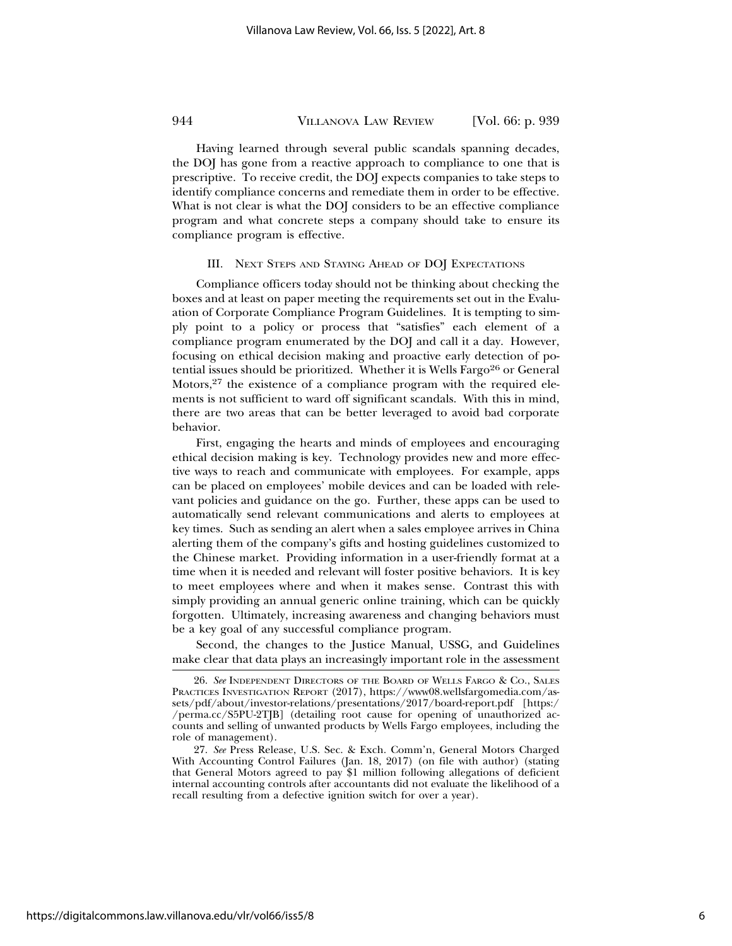## 944 VILLANOVA LAW REVIEW [Vol. 66: p. 939

Having learned through several public scandals spanning decades, the DOJ has gone from a reactive approach to compliance to one that is prescriptive. To receive credit, the DOJ expects companies to take steps to identify compliance concerns and remediate them in order to be effective. What is not clear is what the DOJ considers to be an effective compliance program and what concrete steps a company should take to ensure its compliance program is effective.

#### III. NEXT STEPS AND STAYING AHEAD OF DOJ EXPECTATIONS

Compliance officers today should not be thinking about checking the boxes and at least on paper meeting the requirements set out in the Evaluation of Corporate Compliance Program Guidelines. It is tempting to simply point to a policy or process that "satisfies" each element of a compliance program enumerated by the DOJ and call it a day. However, focusing on ethical decision making and proactive early detection of potential issues should be prioritized. Whether it is Wells Fargo<sup>26</sup> or General Motors,  $2^7$  the existence of a compliance program with the required elements is not sufficient to ward off significant scandals. With this in mind, there are two areas that can be better leveraged to avoid bad corporate behavior.

First, engaging the hearts and minds of employees and encouraging ethical decision making is key. Technology provides new and more effective ways to reach and communicate with employees. For example, apps can be placed on employees' mobile devices and can be loaded with relevant policies and guidance on the go. Further, these apps can be used to automatically send relevant communications and alerts to employees at key times. Such as sending an alert when a sales employee arrives in China alerting them of the company's gifts and hosting guidelines customized to the Chinese market. Providing information in a user-friendly format at a time when it is needed and relevant will foster positive behaviors. It is key to meet employees where and when it makes sense. Contrast this with simply providing an annual generic online training, which can be quickly forgotten. Ultimately, increasing awareness and changing behaviors must be a key goal of any successful compliance program.

Second, the changes to the Justice Manual, USSG, and Guidelines make clear that data plays an increasingly important role in the assessment

<sup>26.</sup> *See* INDEPENDENT DIRECTORS OF THE BOARD OF WELLS FARGO & CO., SALES PRACTICES INVESTIGATION REPORT (2017), https://www08.wellsfargomedia.com/assets/pdf/about/investor-relations/presentations/2017/board-report.pdf [https:/ /perma.cc/S5PU-2TJB] (detailing root cause for opening of unauthorized accounts and selling of unwanted products by Wells Fargo employees, including the role of management).

<sup>27.</sup> *See* Press Release, U.S. Sec. & Exch. Comm'n, General Motors Charged With Accounting Control Failures (Jan. 18, 2017) (on file with author) (stating that General Motors agreed to pay \$1 million following allegations of deficient internal accounting controls after accountants did not evaluate the likelihood of a recall resulting from a defective ignition switch for over a year).